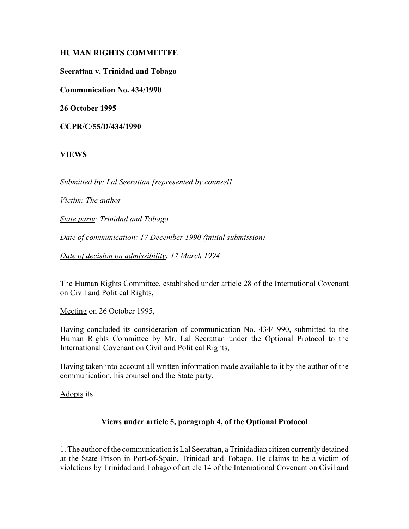# **HUMAN RIGHTS COMMITTEE**

### **Seerattan v. Trinidad and Tobago**

**Communication No. 434/1990**

**26 October 1995**

**CCPR/C/55/D/434/1990**

## **VIEWS**

*Submitted by: Lal Seerattan [represented by counsel]*

*Victim: The author*

*State party: Trinidad and Tobago*

*Date of communication: 17 December 1990 (initial submission)*

*Date of decision on admissibility: 17 March 1994*

The Human Rights Committee, established under article 28 of the International Covenant on Civil and Political Rights,

Meeting on 26 October 1995,

Having concluded its consideration of communication No. 434/1990, submitted to the Human Rights Committee by Mr. Lal Seerattan under the Optional Protocol to the International Covenant on Civil and Political Rights,

Having taken into account all written information made available to it by the author of the communication, his counsel and the State party,

Adopts its

# **Views under article 5, paragraph 4, of the Optional Protocol**

1. The author of the communication is Lal Seerattan, a Trinidadian citizen currently detained at the State Prison in Port-of-Spain, Trinidad and Tobago. He claims to be a victim of violations by Trinidad and Tobago of article 14 of the International Covenant on Civil and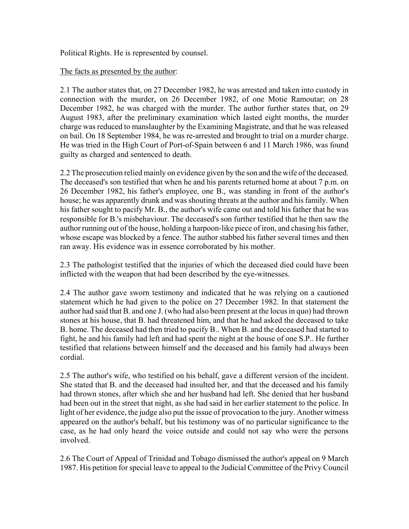Political Rights. He is represented by counsel.

### The facts as presented by the author:

2.1 The author states that, on 27 December 1982, he was arrested and taken into custody in connection with the murder, on 26 December 1982, of one Motie Ramoutar; on 28 December 1982, he was charged with the murder. The author further states that, on 29 August 1983, after the preliminary examination which lasted eight months, the murder charge was reduced to manslaughter by the Examining Magistrate, and that he was released on bail. On 18 September 1984, he was re-arrested and brought to trial on a murder charge. He was tried in the High Court of Port-of-Spain between 6 and 11 March 1986, was found guilty as charged and sentenced to death.

2.2 The prosecution relied mainly on evidence given by the son and the wife of the deceased. The deceased's son testified that when he and his parents returned home at about 7 p.m. on 26 December 1982, his father's employee, one B., was standing in front of the author's house; he was apparently drunk and was shouting threats at the author and his family. When his father sought to pacify Mr. B., the author's wife came out and told his father that he was responsible for B.'s misbehaviour. The deceased's son further testified that he then saw the author running out of the house, holding a harpoon-like piece of iron, and chasing his father, whose escape was blocked by a fence. The author stabbed his father several times and then ran away. His evidence was in essence corroborated by his mother.

2.3 The pathologist testified that the injuries of which the deceased died could have been inflicted with the weapon that had been described by the eye-witnesses.

2.4 The author gave sworn testimony and indicated that he was relying on a cautioned statement which he had given to the police on 27 December 1982. In that statement the author had said that B. and one J. (who had also been present at the locus in quo) had thrown stones at his house, that B. had threatened him, and that he had asked the deceased to take B. home. The deceased had then tried to pacify B.. When B. and the deceased had started to fight, he and his family had left and had spent the night at the house of one S.P.. He further testified that relations between himself and the deceased and his family had always been cordial.

2.5 The author's wife, who testified on his behalf, gave a different version of the incident. She stated that B. and the deceased had insulted her, and that the deceased and his family had thrown stones, after which she and her husband had left. She denied that her husband had been out in the street that night, as she had said in her earlier statement to the police. In light of her evidence, the judge also put the issue of provocation to the jury. Another witness appeared on the author's behalf, but his testimony was of no particular significance to the case, as he had only heard the voice outside and could not say who were the persons involved.

2.6 The Court of Appeal of Trinidad and Tobago dismissed the author's appeal on 9 March 1987. His petition for special leave to appeal to the Judicial Committee of the Privy Council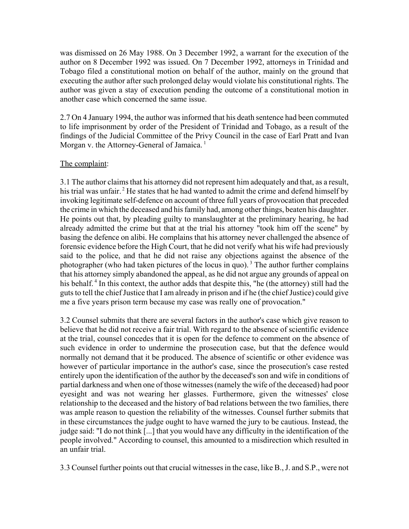was dismissed on 26 May 1988. On 3 December 1992, a warrant for the execution of the author on 8 December 1992 was issued. On 7 December 1992, attorneys in Trinidad and Tobago filed a constitutional motion on behalf of the author, mainly on the ground that executing the author after such prolonged delay would violate his constitutional rights. The author was given a stay of execution pending the outcome of a constitutional motion in another case which concerned the same issue.

2.7 On 4 January 1994, the author was informed that his death sentence had been commuted to life imprisonment by order of the President of Trinidad and Tobago, as a result of the findings of the Judicial Committee of the Privy Council in the case of Earl Pratt and Ivan Morgan v. the Attorney-General of Jamaica.<sup>1</sup>

# The complaint:

3.1 The author claims that his attorney did not represent him adequately and that, as a result, his trial was unfair.<sup>2</sup> He states that he had wanted to admit the crime and defend himself by invoking legitimate self-defence on account of three full years of provocation that preceded the crime in which the deceased and his family had, among other things, beaten his daughter. He points out that, by pleading guilty to manslaughter at the preliminary hearing, he had already admitted the crime but that at the trial his attorney "took him off the scene" by basing the defence on alibi. He complains that his attorney never challenged the absence of forensic evidence before the High Court, that he did not verify what his wife had previously said to the police, and that he did not raise any objections against the absence of the photographer (who had taken pictures of the locus in quo).<sup>3</sup> The author further complains that his attorney simply abandoned the appeal, as he did not argue any grounds of appeal on his behalf.<sup>4</sup> In this context, the author adds that despite this, "he (the attorney) still had the guts to tell the chief Justice that I am already in prison and if he (the chief Justice) could give me a five years prison term because my case was really one of provocation."

3.2 Counsel submits that there are several factors in the author's case which give reason to believe that he did not receive a fair trial. With regard to the absence of scientific evidence at the trial, counsel concedes that it is open for the defence to comment on the absence of such evidence in order to undermine the prosecution case, but that the defence would normally not demand that it be produced. The absence of scientific or other evidence was however of particular importance in the author's case, since the prosecution's case rested entirely upon the identification of the author by the deceased's son and wife in conditions of partial darkness and when one of those witnesses (namely the wife of the deceased) had poor eyesight and was not wearing her glasses. Furthermore, given the witnesses' close relationship to the deceased and the history of bad relations between the two families, there was ample reason to question the reliability of the witnesses. Counsel further submits that in these circumstances the judge ought to have warned the jury to be cautious. Instead, the judge said: "I do not think [...] that you would have any difficulty in the identification of the people involved." According to counsel, this amounted to a misdirection which resulted in an unfair trial.

3.3 Counsel further points out that crucial witnesses in the case, like B., J. and S.P., were not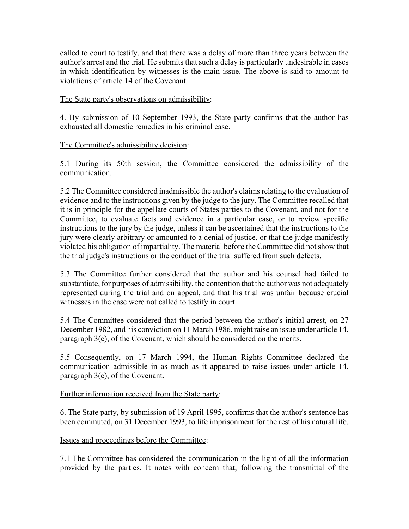called to court to testify, and that there was a delay of more than three years between the author's arrest and the trial. He submits that such a delay is particularly undesirable in cases in which identification by witnesses is the main issue. The above is said to amount to violations of article 14 of the Covenant.

## The State party's observations on admissibility:

4. By submission of 10 September 1993, the State party confirms that the author has exhausted all domestic remedies in his criminal case.

## The Committee's admissibility decision:

5.1 During its 50th session, the Committee considered the admissibility of the communication.

5.2 The Committee considered inadmissible the author's claims relating to the evaluation of evidence and to the instructions given by the judge to the jury. The Committee recalled that it is in principle for the appellate courts of States parties to the Covenant, and not for the Committee, to evaluate facts and evidence in a particular case, or to review specific instructions to the jury by the judge, unless it can be ascertained that the instructions to the jury were clearly arbitrary or amounted to a denial of justice, or that the judge manifestly violated his obligation of impartiality. The material before the Committee did not show that the trial judge's instructions or the conduct of the trial suffered from such defects.

5.3 The Committee further considered that the author and his counsel had failed to substantiate, for purposes of admissibility, the contention that the author was not adequately represented during the trial and on appeal, and that his trial was unfair because crucial witnesses in the case were not called to testify in court.

5.4 The Committee considered that the period between the author's initial arrest, on 27 December 1982, and his conviction on 11 March 1986, might raise an issue under article 14, paragraph 3(c), of the Covenant, which should be considered on the merits.

5.5 Consequently, on 17 March 1994, the Human Rights Committee declared the communication admissible in as much as it appeared to raise issues under article 14, paragraph 3(c), of the Covenant.

#### Further information received from the State party:

6. The State party, by submission of 19 April 1995, confirms that the author's sentence has been commuted, on 31 December 1993, to life imprisonment for the rest of his natural life.

#### Issues and proceedings before the Committee:

7.1 The Committee has considered the communication in the light of all the information provided by the parties. It notes with concern that, following the transmittal of the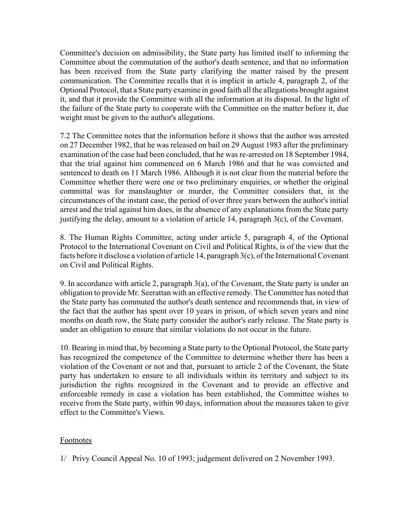Committee's decision on admissibility, the State party has limited itself to informing the Committee about the commutation of the author's death sentence, and that no information has been received from the State party clarifying the matter raised by the present communication. The Committee recalls that it is implicit in article 4, paragraph 2, of the Optional Protocol, that a State party examine in good faith all the allegations brought against it, and that it provide the Committee with all the information at its disposal. In the light of the failure of the State party to cooperate with the Committee on the matter before it, due weight must be given to the author's allegations.

7.2 The Committee notes that the information before it shows that the author was arrested on 27 December 1982, that he was released on bail on 29 August 1983 after the preliminary examination of the case had been concluded, that he was re-arrested on 18 September 1984, that the trial against him commenced on 6 March 1986 and that he was convicted and sentenced to death on 11 March 1986. Although it is not clear from the material before the Committee whether there were one or two preliminary enquiries, or whether the original committal was for manslaughter or murder, the Committee considers that, in the circumstances of the instant case, the period of over three years between the author's initial arrest and the trial against him does, in the absence of any explanations from the State party justifying the delay, amount to a violation of article 14, paragraph 3(c), of the Covenant.

8. The Human Rights Committee, acting under article 5, paragraph 4, of the Optional Protocol to the International Covenant on Civil and Political Rights, is of the view that the facts before it disclose a violation of article 14, paragraph 3(c), of the International Covenant on Civil and Political Rights.

9. In accordance with article 2, paragraph 3(a), of the Covenant, the State party is under an obligation to provide Mr. Seerattan with an effective remedy. The Committee has noted that the State party has commuted the author's death sentence and recommends that, in view of the fact that the author has spent over 10 years in prison, of which seven years and nine months on death row, the State party consider the author's early release. The State party is under an obligation to ensure that similar violations do not occur in the future.

10. Bearing in mind that, by becoming a State party to the Optional Protocol, the State party has recognized the competence of the Committee to determine whether there has been a violation of the Covenant or not and that, pursuant to article 2 of the Covenant, the State party has undertaken to ensure to all individuals within its territory and subject to its jurisdiction the rights recognized in the Covenant and to provide an effective and enforceable remedy in case a violation has been established, the Committee wishes to receive from the State party, within 90 days, information about the measures taken to give effect to the Committee's Views.

# Footnotes

1/ Privy Council Appeal No. 10 of 1993; judgement delivered on 2 November 1993.